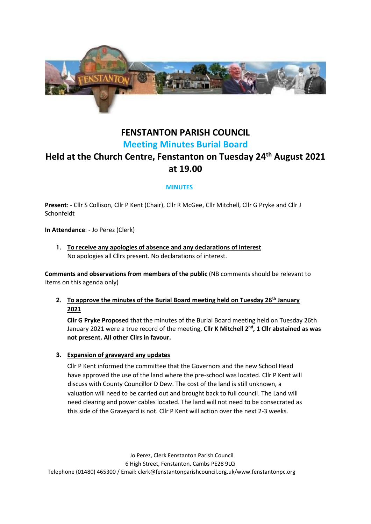

## **FENSTANTON PARISH COUNCIL Meeting Minutes Burial Board**

# **Held at the Church Centre, Fenstanton on Tuesday 24th August 2021 at 19.00**

## **MINUTES**

**Present**: - Cllr S Collison, Cllr P Kent (Chair), Cllr R McGee, Cllr Mitchell, Cllr G Pryke and Cllr J Schonfeldt

**In Attendance**: - Jo Perez (Clerk)

**1. To receive any apologies of absence and any declarations of interest** No apologies all Cllrs present. No declarations of interest.

**Comments and observations from members of the public** (NB comments should be relevant to items on this agenda only)

**2. To approve the minutes of the Burial Board meeting held on Tuesday 26th January 2021**

**Cllr G Pryke Proposed** that the minutes of the Burial Board meeting held on Tuesday 26th January 2021 were a true record of the meeting, Cllr K Mitchell 2<sup>nd</sup>, 1 Cllr abstained as was **not present. All other Cllrs in favour.**

#### **3. Expansion of graveyard any updates**

Cllr P Kent informed the committee that the Governors and the new School Head have approved the use of the land where the pre-school was located. Cllr P Kent will discuss with County Councillor D Dew. The cost of the land is still unknown, a valuation will need to be carried out and brought back to full council. The Land will need clearing and power cables located. The land will not need to be consecrated as this side of the Graveyard is not. Cllr P Kent will action over the next 2-3 weeks.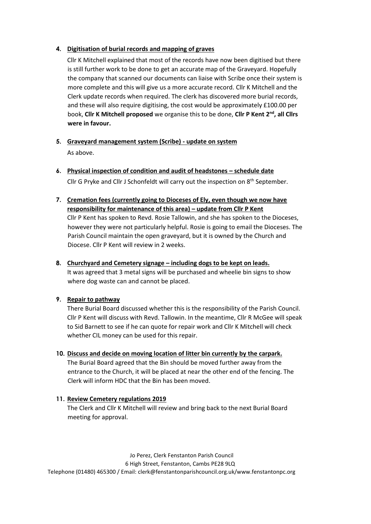## **4. Digitisation of burial records and mapping of graves**

Cllr K Mitchell explained that most of the records have now been digitised but there is still further work to be done to get an accurate map of the Graveyard. Hopefully the company that scanned our documents can liaise with Scribe once their system is more complete and this will give us a more accurate record. Cllr K Mitchell and the Clerk update records when required. The clerk has discovered more burial records, and these will also require digitising, the cost would be approximately £100.00 per book, **Cllr K Mitchell proposed** we organise this to be done, **Cllr P Kent 2nd , all Cllrs were in favour.**

- **5. Graveyard management system (Scribe) - update on system** As above.
- **6. Physical inspection of condition and audit of headstones – schedule date**  Cllr G Pryke and Cllr J Schonfeldt will carry out the inspection on  $8<sup>th</sup>$  September.
- **7. Cremation fees (currently going to Dioceses of Ely, even though we now have responsibility for maintenance of this area) – update from Cllr P Kent** Cllr P Kent has spoken to Revd. Rosie Tallowin, and she has spoken to the Dioceses, however they were not particularly helpful. Rosie is going to email the Dioceses. The Parish Council maintain the open graveyard, but it is owned by the Church and Diocese. Cllr P Kent will review in 2 weeks.
- **8. Churchyard and Cemetery signage – including dogs to be kept on leads.** It was agreed that 3 metal signs will be purchased and wheelie bin signs to show where dog waste can and cannot be placed.

## **9. Repair to pathway**

There Burial Board discussed whether this is the responsibility of the Parish Council. Cllr P Kent will discuss with Revd. Tallowin. In the meantime, Cllr R McGee will speak to Sid Barnett to see if he can quote for repair work and Cllr K Mitchell will check whether CIL money can be used for this repair.

## **10. Discuss and decide on moving location of litter bin currently by the carpark.**

The Burial Board agreed that the Bin should be moved further away from the entrance to the Church, it will be placed at near the other end of the fencing. The Clerk will inform HDC that the Bin has been moved.

#### **11. Review Cemetery regulations 2019**

The Clerk and Cllr K Mitchell will review and bring back to the next Burial Board meeting for approval.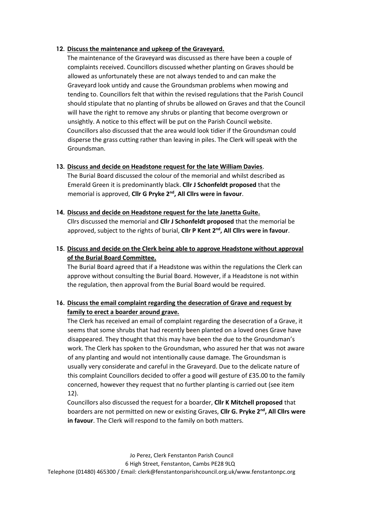#### **12. Discuss the maintenance and upkeep of the Graveyard.**

The maintenance of the Graveyard was discussed as there have been a couple of complaints received. Councillors discussed whether planting on Graves should be allowed as unfortunately these are not always tended to and can make the Graveyard look untidy and cause the Groundsman problems when mowing and tending to. Councillors felt that within the revised regulations that the Parish Council should stipulate that no planting of shrubs be allowed on Graves and that the Council will have the right to remove any shrubs or planting that become overgrown or unsightly. A notice to this effect will be put on the Parish Council website. Councillors also discussed that the area would look tidier if the Groundsman could disperse the grass cutting rather than leaving in piles. The Clerk will speak with the Groundsman.

#### **13. Discuss and decide on Headstone request for the late William Davies**.

The Burial Board discussed the colour of the memorial and whilst described as Emerald Green it is predominantly black. **Cllr J Schonfeldt proposed** that the memorial is approved, **Cllr G Pryke 2nd, All Cllrs were in favour**.

## **14. Discuss and decide on Headstone request for the late Janetta Guite.** Cllrs discussed the memorial and **Cllr J Schonfeldt proposed** that the memorial be approved, subject to the rights of burial, **Cllr P Kent 2nd, All Cllrs were in favour**.

**15. Discuss and decide on the Clerk being able to approve Headstone without approval of the Burial Board Committee.**

The Burial Board agreed that if a Headstone was within the regulations the Clerk can approve without consulting the Burial Board. However, if a Headstone is not within the regulation, then approval from the Burial Board would be required.

## **16. Discuss the email complaint regarding the desecration of Grave and request by family to erect a boarder around grave.**

The Clerk has received an email of complaint regarding the desecration of a Grave, it seems that some shrubs that had recently been planted on a loved ones Grave have disappeared. They thought that this may have been the due to the Groundsman's work. The Clerk has spoken to the Groundsman, who assured her that was not aware of any planting and would not intentionally cause damage. The Groundsman is usually very considerate and careful in the Graveyard. Due to the delicate nature of this complaint Councillors decided to offer a good will gesture of £35.00 to the family concerned, however they request that no further planting is carried out (see item 12).

Councillors also discussed the request for a boarder, **Cllr K Mitchell proposed** that boarders are not permitted on new or existing Graves, **Cllr G. Pryke 2nd, All Cllrs were in favour**. The Clerk will respond to the family on both matters.